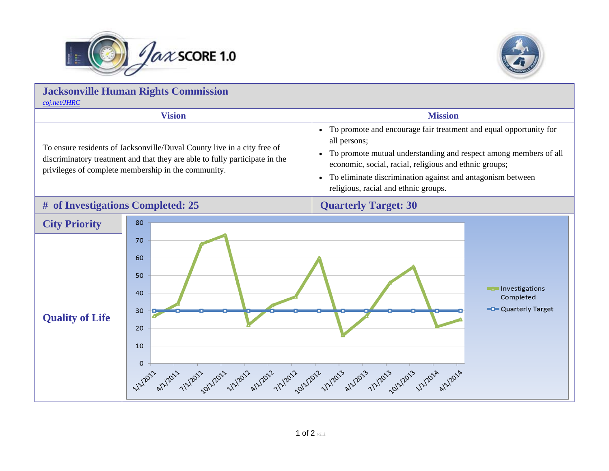



| <b>Jacksonville Human Rights Commission</b><br>coj.net/JHRC                                                                                                                                                   |                                                                                                                                                                     |                                                                                                                                                                                                                                                                                                                                                              |
|---------------------------------------------------------------------------------------------------------------------------------------------------------------------------------------------------------------|---------------------------------------------------------------------------------------------------------------------------------------------------------------------|--------------------------------------------------------------------------------------------------------------------------------------------------------------------------------------------------------------------------------------------------------------------------------------------------------------------------------------------------------------|
| <b>Vision</b>                                                                                                                                                                                                 |                                                                                                                                                                     | <b>Mission</b>                                                                                                                                                                                                                                                                                                                                               |
| To ensure residents of Jacksonville/Duval County live in a city free of<br>discriminatory treatment and that they are able to fully participate in the<br>privileges of complete membership in the community. |                                                                                                                                                                     | To promote and encourage fair treatment and equal opportunity for<br>$\bullet$<br>all persons;<br>To promote mutual understanding and respect among members of all<br>$\bullet$<br>economic, social, racial, religious and ethnic groups;<br>To eliminate discrimination against and antagonism between<br>$\bullet$<br>religious, racial and ethnic groups. |
| # of Investigations Completed: 25                                                                                                                                                                             |                                                                                                                                                                     | <b>Quarterly Target: 30</b>                                                                                                                                                                                                                                                                                                                                  |
| <b>City Priority</b><br><b>Quality of Life</b>                                                                                                                                                                | 80<br>70<br>60<br>50<br>40<br>30<br>20<br>10<br>$\mathbf 0$<br>UNION WARD 1/2/2012 1/2/2012 1/2/2012 1/2/2012 1/2/2012 1/2/2013 1/2/2013 1/2/2013 1/2/2014 1/2/2014 | Investigations<br>Completed<br><b>C</b> Quarterly Target                                                                                                                                                                                                                                                                                                     |